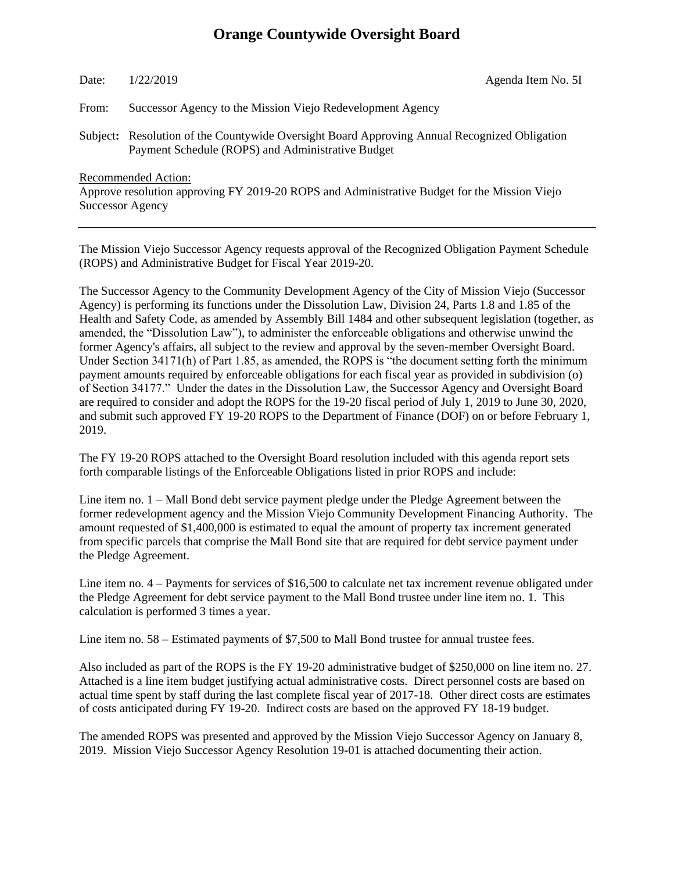# **Orange Countywide Oversight Board**

## Date: 1/22/2019 Agenda Item No. 5I

From: Successor Agency to the Mission Viejo Redevelopment Agency

Subject**:** Resolution of the Countywide Oversight Board Approving Annual Recognized Obligation Payment Schedule (ROPS) and Administrative Budget

Recommended Action:

Approve resolution approving FY 2019-20 ROPS and Administrative Budget for the Mission Viejo Successor Agency

The Mission Viejo Successor Agency requests approval of the Recognized Obligation Payment Schedule (ROPS) and Administrative Budget for Fiscal Year 2019-20.

The Successor Agency to the Community Development Agency of the City of Mission Viejo (Successor Agency) is performing its functions under the Dissolution Law, Division 24, Parts 1.8 and 1.85 of the Health and Safety Code, as amended by Assembly Bill 1484 and other subsequent legislation (together, as amended, the "Dissolution Law"), to administer the enforceable obligations and otherwise unwind the former Agency's affairs, all subject to the review and approval by the seven-member Oversight Board. Under Section 34171(h) of Part 1.85, as amended, the ROPS is "the document setting forth the minimum payment amounts required by enforceable obligations for each fiscal year as provided in subdivision (o) of Section 34177." Under the dates in the Dissolution Law, the Successor Agency and Oversight Board are required to consider and adopt the ROPS for the 19-20 fiscal period of July 1, 2019 to June 30, 2020, and submit such approved FY 19-20 ROPS to the Department of Finance (DOF) on or before February 1, 2019.

The FY 19-20 ROPS attached to the Oversight Board resolution included with this agenda report sets forth comparable listings of the Enforceable Obligations listed in prior ROPS and include:

Line item no. 1 – Mall Bond debt service payment pledge under the Pledge Agreement between the former redevelopment agency and the Mission Viejo Community Development Financing Authority. The amount requested of \$1,400,000 is estimated to equal the amount of property tax increment generated from specific parcels that comprise the Mall Bond site that are required for debt service payment under the Pledge Agreement.

Line item no. 4 – Payments for services of \$16,500 to calculate net tax increment revenue obligated under the Pledge Agreement for debt service payment to the Mall Bond trustee under line item no. 1. This calculation is performed 3 times a year.

Line item no. 58 – Estimated payments of \$7,500 to Mall Bond trustee for annual trustee fees.

Also included as part of the ROPS is the FY 19-20 administrative budget of \$250,000 on line item no. 27. Attached is a line item budget justifying actual administrative costs. Direct personnel costs are based on actual time spent by staff during the last complete fiscal year of 2017-18. Other direct costs are estimates of costs anticipated during FY 19-20. Indirect costs are based on the approved FY 18-19 budget.

The amended ROPS was presented and approved by the Mission Viejo Successor Agency on January 8, 2019. Mission Viejo Successor Agency Resolution 19-01 is attached documenting their action.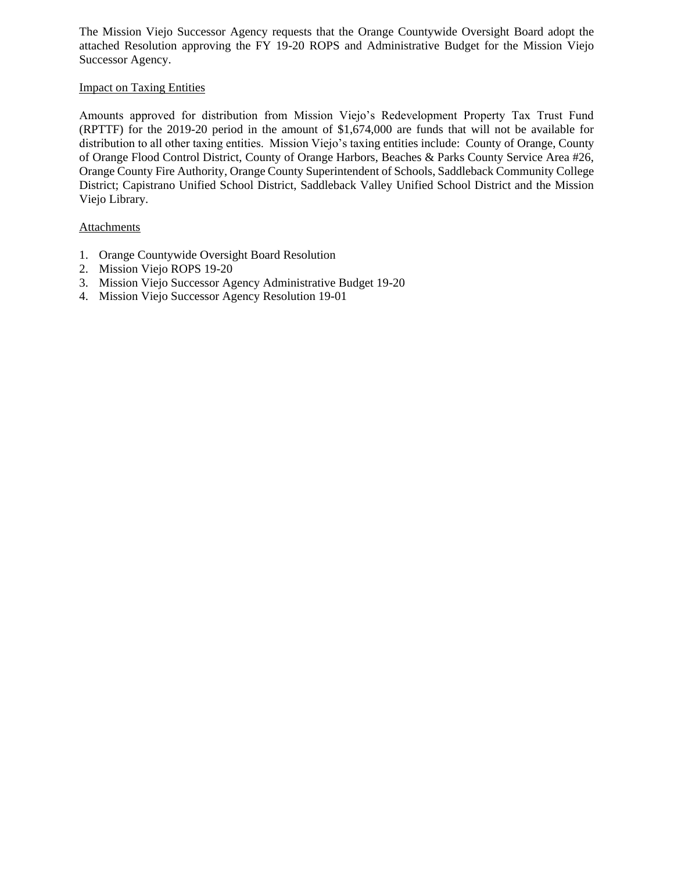The Mission Viejo Successor Agency requests that the Orange Countywide Oversight Board adopt the attached Resolution approving the FY 19-20 ROPS and Administrative Budget for the Mission Viejo Successor Agency.

## Impact on Taxing Entities

Amounts approved for distribution from Mission Viejo's Redevelopment Property Tax Trust Fund (RPTTF) for the 2019-20 period in the amount of \$1,674,000 are funds that will not be available for distribution to all other taxing entities. Mission Viejo's taxing entities include: County of Orange, County of Orange Flood Control District, County of Orange Harbors, Beaches & Parks County Service Area #26, Orange County Fire Authority, Orange County Superintendent of Schools, Saddleback Community College District; Capistrano Unified School District, Saddleback Valley Unified School District and the Mission Viejo Library.

### **Attachments**

- 1. Orange Countywide Oversight Board Resolution
- 2. Mission Viejo ROPS 19-20
- 3. Mission Viejo Successor Agency Administrative Budget 19-20
- 4. Mission Viejo Successor Agency Resolution 19-01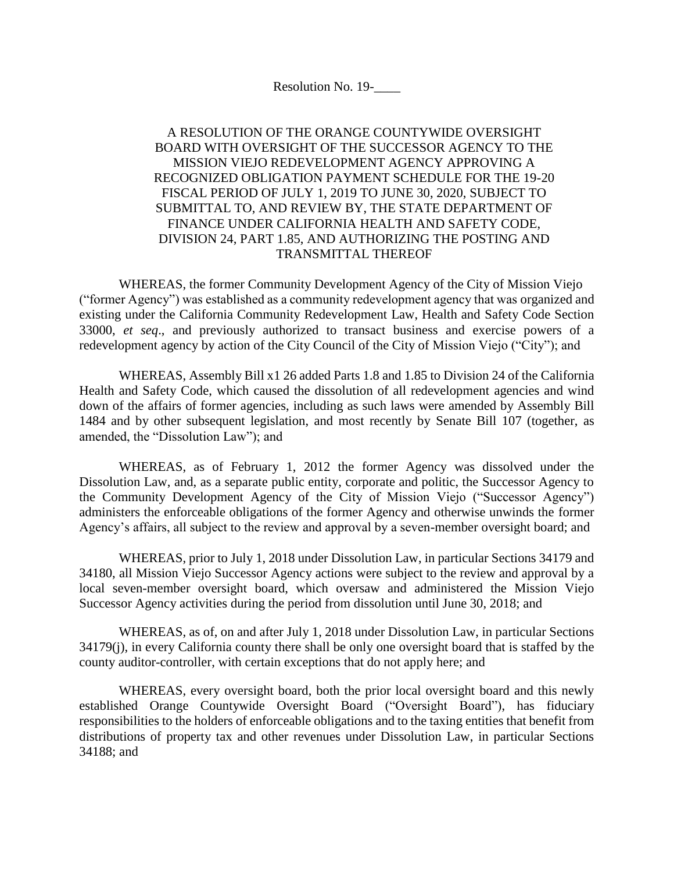Resolution No. 19-\_\_\_\_

## A RESOLUTION OF THE ORANGE COUNTYWIDE OVERSIGHT BOARD WITH OVERSIGHT OF THE SUCCESSOR AGENCY TO THE MISSION VIEJO REDEVELOPMENT AGENCY APPROVING A RECOGNIZED OBLIGATION PAYMENT SCHEDULE FOR THE 19-20 FISCAL PERIOD OF JULY 1, 2019 TO JUNE 30, 2020, SUBJECT TO SUBMITTAL TO, AND REVIEW BY, THE STATE DEPARTMENT OF FINANCE UNDER CALIFORNIA HEALTH AND SAFETY CODE, DIVISION 24, PART 1.85, AND AUTHORIZING THE POSTING AND TRANSMITTAL THEREOF

WHEREAS, the former Community Development Agency of the City of Mission Viejo ("former Agency") was established as a community redevelopment agency that was organized and existing under the California Community Redevelopment Law, Health and Safety Code Section 33000, *et seq*., and previously authorized to transact business and exercise powers of a redevelopment agency by action of the City Council of the City of Mission Viejo ("City"); and

WHEREAS, Assembly Bill x1 26 added Parts 1.8 and 1.85 to Division 24 of the California Health and Safety Code, which caused the dissolution of all redevelopment agencies and wind down of the affairs of former agencies, including as such laws were amended by Assembly Bill 1484 and by other subsequent legislation, and most recently by Senate Bill 107 (together, as amended, the "Dissolution Law"); and

WHEREAS, as of February 1, 2012 the former Agency was dissolved under the Dissolution Law, and, as a separate public entity, corporate and politic, the Successor Agency to the Community Development Agency of the City of Mission Viejo ("Successor Agency") administers the enforceable obligations of the former Agency and otherwise unwinds the former Agency's affairs, all subject to the review and approval by a seven-member oversight board; and

WHEREAS, prior to July 1, 2018 under Dissolution Law, in particular Sections 34179 and 34180, all Mission Viejo Successor Agency actions were subject to the review and approval by a local seven-member oversight board, which oversaw and administered the Mission Viejo Successor Agency activities during the period from dissolution until June 30, 2018; and

WHEREAS, as of, on and after July 1, 2018 under Dissolution Law, in particular Sections 34179(j), in every California county there shall be only one oversight board that is staffed by the county auditor-controller, with certain exceptions that do not apply here; and

WHEREAS, every oversight board, both the prior local oversight board and this newly established Orange Countywide Oversight Board ("Oversight Board"), has fiduciary responsibilities to the holders of enforceable obligations and to the taxing entities that benefit from distributions of property tax and other revenues under Dissolution Law, in particular Sections 34188; and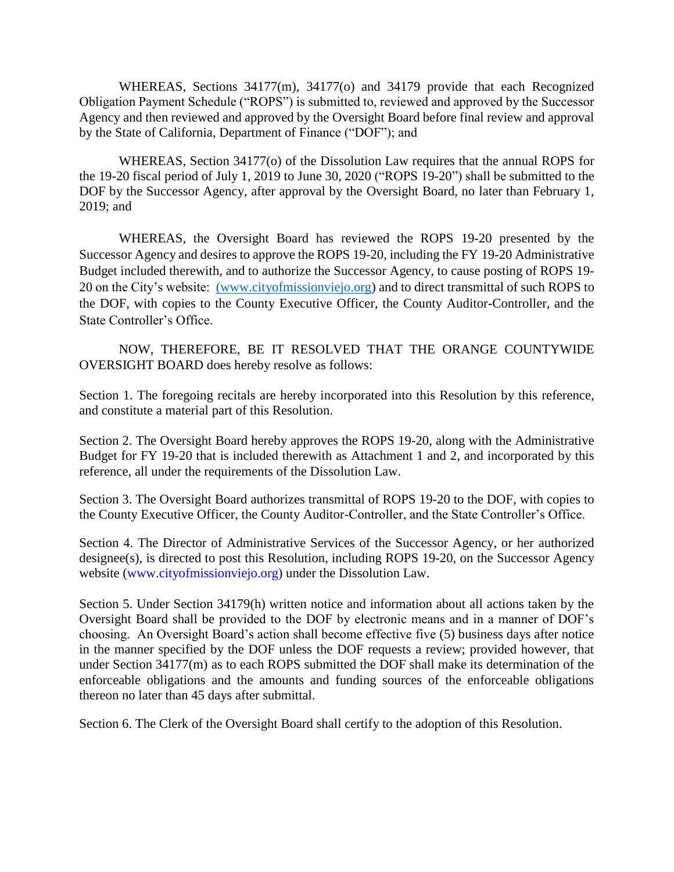WHEREAS, Sections 34177(m), 34177(o) and 34179 provide that each Recognized Obligation Payment Schedule ("ROPS") is submitted to, reviewed and approved by the Successor Agency and then reviewed and approved by the Oversight Board before final review and approval by the State of California, Department of Finance ("DOF"); and

WHEREAS, Section 34177(o) of the Dissolution Law requires that the annual ROPS for the 19-20 fiscal period of July 1, 2019 to June 30, 2020 ("ROPS 19-20") shall be submitted to the DOF by the Successor Agency, after approval by the Oversight Board, no later than February 1, 2019; and

WHEREAS, the Oversight Board has reviewed the ROPS 19-20 presented by the Successor Agency and desires to approve the ROPS 19-20, including the FY 19-20 Administrative Budget included therewith, and to authorize the Successor Agency, to cause posting of ROPS 19- 20 on the City's website: [\(www.cityofmissionviejo.org\)](http://(www.cityofmissionviejo.org/) and to direct transmittal of such ROPS to the DOF, with copies to the County Executive Officer, the County Auditor-Controller, and the State Controller's Office.

NOW, THEREFORE, BE IT RESOLVED THAT THE ORANGE COUNTYWIDE OVERSIGHT BOARD does hereby resolve as follows:

Section 1. The foregoing recitals are hereby incorporated into this Resolution by this reference, and constitute a material part of this Resolution.

Section 2. The Oversight Board hereby approves the ROPS 19-20, along with the Administrative Budget for FY 19-20 that is included therewith as Attachment 1 and 2, and incorporated by this reference, all under the requirements of the Dissolution Law.

Section 3. The Oversight Board authorizes transmittal of ROPS 19-20 to the DOF, with copies to the County Executive Officer, the County Auditor-Controller, and the State Controller's Office.

Section 4. The Director of Administrative Services of the Successor Agency, or her authorized designee(s), is directed to post this Resolution, including ROPS 19-20, on the Successor Agency website (www.cityofmissionviejo.org) under the Dissolution Law.

Section 5. Under Section 34179(h) written notice and information about all actions taken by the Oversight Board shall be provided to the DOF by electronic means and in a manner of DOF's choosing. An Oversight Board's action shall become effective five (5) business days after notice in the manner specified by the DOF unless the DOF requests a review; provided however, that under Section 34177(m) as to each ROPS submitted the DOF shall make its determination of the enforceable obligations and the amounts and funding sources of the enforceable obligations thereon no later than 45 days after submittal.

Section 6. The Clerk of the Oversight Board shall certify to the adoption of this Resolution.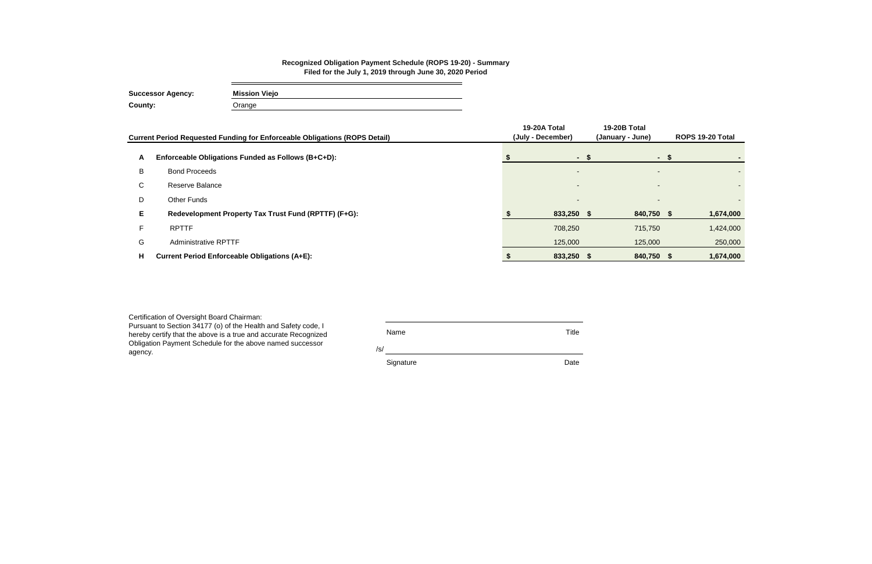| Certification of Oversight Board Chairman:<br>Pursuant to Section 34177 (o) of the Health and Safety code, I<br>hereby certify that the above is a true and accurate Recognized<br>Obligation Payment Schedule for the above named successor | Name<br>/s/ | Title |
|----------------------------------------------------------------------------------------------------------------------------------------------------------------------------------------------------------------------------------------------|-------------|-------|
| agency.                                                                                                                                                                                                                                      | Signature   | Date  |

|    | Current Period Requested Funding for Enforceable Obligations (ROPS Detail) | 19-20A Total<br>(July - December) | 19-20B Total<br>(January - June) | ROPS 19-20 Total |
|----|----------------------------------------------------------------------------|-----------------------------------|----------------------------------|------------------|
| A  | Enforceable Obligations Funded as Follows (B+C+D):                         | - \$                              |                                  |                  |
| B  | <b>Bond Proceeds</b>                                                       | $\overline{\phantom{0}}$          |                                  |                  |
| C. | Reserve Balance                                                            | $\overline{\phantom{0}}$          | $\overline{\phantom{a}}$         |                  |
| D  | Other Funds                                                                |                                   |                                  |                  |
| Е. | Redevelopment Property Tax Trust Fund (RPTTF) (F+G):                       | 833,250 \$                        | 840,750 \$                       | 1,674,000        |
|    | <b>RPTTF</b>                                                               | 708,250                           | 715,750                          | 1,424,000        |
| G  | <b>Administrative RPTTF</b>                                                | 125,000                           | 125,000                          | 250,000          |
| н  | <b>Current Period Enforceable Obligations (A+E):</b>                       | 833,250 \$                        | 840,750 \$                       | 1,674,000        |

e.

#### **Recognized Obligation Payment Schedule (ROPS 19-20) - Summary Filed for the July 1, 2019 through June 30, 2020 Period**

**Successor Agency: Mission Viejo County:** Orange

 $\sim$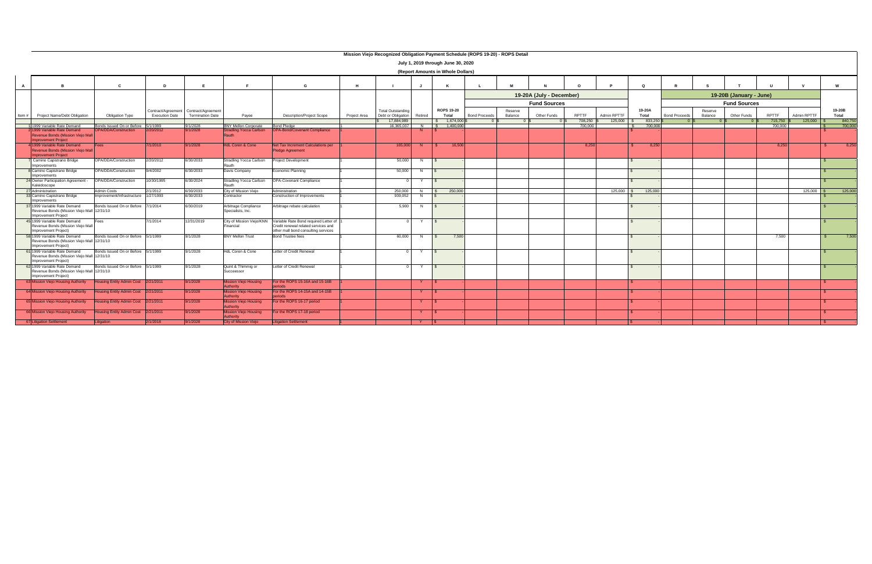|                |                                                                                                    |                                     |                       |                                       |                                           |                                                                                                                     |              |                                  |         | July 1, 2019 through June 30, 2020 |                      |         |                          |                  |                        |                  |                      |         |                         |                  |                        |                  |
|----------------|----------------------------------------------------------------------------------------------------|-------------------------------------|-----------------------|---------------------------------------|-------------------------------------------|---------------------------------------------------------------------------------------------------------------------|--------------|----------------------------------|---------|------------------------------------|----------------------|---------|--------------------------|------------------|------------------------|------------------|----------------------|---------|-------------------------|------------------|------------------------|------------------|
|                |                                                                                                    |                                     |                       |                                       |                                           |                                                                                                                     |              |                                  |         | (Report Amounts in Whole Dollars)  |                      |         |                          |                  |                        |                  |                      |         |                         |                  |                        |                  |
| $\overline{A}$ | <b>B</b>                                                                                           | <b>C</b>                            | D                     | Е                                     | -F                                        | G                                                                                                                   | H            |                                  |         | K                                  |                      |         |                          |                  |                        | $\circ$          |                      |         |                         |                  |                        | w                |
|                |                                                                                                    |                                     |                       |                                       |                                           |                                                                                                                     |              |                                  |         |                                    |                      |         | 19-20A (July - December) |                  |                        |                  |                      |         | 19-20B (January - June) |                  |                        |                  |
|                |                                                                                                    |                                     |                       |                                       |                                           |                                                                                                                     |              |                                  |         |                                    |                      |         | <b>Fund Sources</b>      |                  |                        |                  |                      |         | <b>Fund Sources</b>     |                  |                        |                  |
|                |                                                                                                    |                                     |                       | Contract/Agreement Contract/Agreement |                                           |                                                                                                                     |              | <b>Total Outstanding</b>         |         | <b>ROPS 19-20</b>                  |                      | Reserve |                          |                  |                        | 19-20A           |                      | Reserve |                         |                  |                        | 19-20B           |
| Item $#$       | Project Name/Debt Obligation                                                                       | <b>Obligation Type</b>              | <b>Execution Date</b> | <b>Termination Date</b>               | Payee                                     | <b>Description/Project Scope</b>                                                                                    | Project Area | Debt or Obligation<br>17,884,989 | Retired | Total<br>\$ 1,674,000              | <b>Bond Proceeds</b> | Balance | Other Funds              | RPTTF<br>708,250 | Admin RPTTF<br>125,000 | Total<br>833,250 | <b>Bond Proceeds</b> | Balance | Other Funds             | RPTTF<br>715,750 | Admin RPTTF<br>125,000 | Total<br>840,750 |
|                | 1 1999 Variable Rate Demand                                                                        | Bonds Issued On or Before 5/1/1999  |                       | 9/1/2028                              | <b>BNY Mellon Corporate</b>               | <b>Bond Pledge</b>                                                                                                  |              | 16.365.037                       |         | N \$ 1.400.000                     |                      |         |                          | 700.000          |                        | 700.000          |                      |         |                         | 700.000          |                        | 700.000          |
|                | 1999 Variable Rate Demand<br>Revenue Bonds (Mission Viejo Mal<br><b>Improvement Project</b>        | PA/DDA/Construction                 | 2/20/2012             | /1/2028                               | <b>Stradling Yocca Carlson</b>            | <b>OPA-Bond/Covenant Compliance</b>                                                                                 |              |                                  |         |                                    |                      |         |                          |                  |                        |                  |                      |         |                         |                  |                        |                  |
|                | 4 1999 Variable Rate Demand<br>Revenue Bonds (Mission Viejo Mall<br><b>Improvement Project</b>     | ees                                 | 7/1/2010              | 9/1/2028                              | <b>HdL Coren &amp; Cone</b>               | Net Tax Increment Calculations per<br><b>Pledge Agreement</b>                                                       |              | 165,000                          |         | 16,500                             |                      |         |                          | 8,250            |                        | 8,250            |                      |         |                         | 8,250            |                        | 8,250            |
|                | Camino Capistrano Bridge<br>Improvements                                                           | OPA/DDA/Construction                | 2/20/2012             | 6/30/2033                             | Stradling Yocca Carlson<br>Rauth          | <b>Project Development</b>                                                                                          |              | 50,000                           |         |                                    |                      |         |                          |                  |                        |                  |                      |         |                         |                  |                        |                  |
|                | 8 Camino Capistrano Bridge<br>Improvements                                                         | OPA/DDA/Construction                | 9/4/2002              | 6/30/2033                             | Davis Company                             | Economic Planning                                                                                                   |              | 50,000                           |         |                                    |                      |         |                          |                  |                        |                  |                      |         |                         |                  |                        |                  |
|                | 24 Owner Participation Agreement -<br>Kaleidoscope                                                 | OPA/DDA/Construction                | 10/30/1995            | 6/30/2024                             | Stradling Yocca Carlson<br>Rauth          | OPA-Covenant Compliance                                                                                             |              |                                  | Y       |                                    |                      |         |                          |                  |                        |                  |                      |         |                         |                  |                        |                  |
|                | 27 Administration                                                                                  | Admin Costs                         | 2/1/2012              | 6/30/2033                             | City of Mission Viejo                     | Administration                                                                                                      |              | 250,000<br>939,052               | N       | $\frac{1}{250,000}$                |                      |         |                          |                  | 125,000                | 125,000          |                      |         |                         |                  | 125,000                | 125,000          |
|                | 33 Camino Capistrano Bridge<br>Improvements                                                        | Improvement/Infrastructure          | 1/27/1993             | 6/30/2033                             | Contractor                                | Construction of Improvements                                                                                        |              |                                  |         |                                    |                      |         |                          |                  |                        |                  |                      |         |                         |                  |                        |                  |
|                | 37 1999 Variable Rate Demand<br>Revenue Bonds (Mission Viejo Mall 12/31/10<br>Improvement Project  | Bonds Issued On or Before 7/1/2014  |                       | 6/30/2019                             | Arbitrage Compliance<br>Specialists, Inc. | Arbitrage rebate calculation                                                                                        |              | 5,900                            | N       | $\mathsf{S}$                       |                      |         |                          |                  |                        |                  |                      |         |                         |                  |                        |                  |
|                | 45 1999 Variable Rate Demand<br>Revenue Bonds (Mission Viejo Mall<br>Improvement Project)          | Fees                                | 7/1/2014              | 12/31/2019                            | City of Mission Viejo/KNN<br>Financial    | Variable Rate Bond required Letter of<br>Credit renewal related services and<br>other mall bond consulting services |              |                                  | Y       | IS.                                |                      |         |                          |                  |                        |                  |                      |         |                         |                  |                        |                  |
|                | 58 1999 Variable Rate Demand<br>Revenue Bonds (Mission Viejo Mall 12/31/10<br>Improvement Project) | Bonds Issued On or Before 5/1/1999  |                       | 9/1/2028                              | <b>BNY Mellon Trust</b>                   | <b>Bond Trustee fees</b>                                                                                            |              | 60,000                           |         | 7,500<br>$\mathsf{S}$              |                      |         |                          |                  |                        |                  |                      |         |                         | 7,500            |                        | 7,500            |
|                | 61 1999 Variable Rate Demand<br>Revenue Bonds (Mission Viejo Mall 12/31/10<br>Improvement Project) | Bonds Issued On or Before 5/1/1999  |                       | 9/1/2028                              | <b>HdL Coren &amp; Cone</b>               | Letter of Credit Renewal                                                                                            |              |                                  | Y       |                                    |                      |         |                          |                  |                        |                  |                      |         |                         |                  |                        |                  |
|                | 62 1999 Variable Rate Demand<br>Revenue Bonds (Mission Vieio Mall 12/31/10<br>Improvement Project) | Bonds Issued On or Before 5/1/1999  |                       | 9/1/2028                              | Quint & Thimmig or<br>Succeessor          | Letter of Credit Renewal                                                                                            |              |                                  | Y       | $\sqrt{s}$                         |                      |         |                          |                  |                        |                  |                      |         |                         |                  |                        |                  |
|                | 63 Mission Viejo Housing Authority                                                                 | lousing Entity Admin Cost 2/21/2011 |                       | 9/1/2028                              | lission Viejo Housing<br>uthority         | For the ROPS 15-16A and 15-16B                                                                                      |              |                                  | Y       |                                    |                      |         |                          |                  |                        |                  |                      |         |                         |                  |                        |                  |
|                | 64 Mission Viejo Housing Authority                                                                 | lousing Entity Admin Cost 2/21/2011 |                       | 9/1/2028                              | <b>Aission Viejo Housing</b><br>uthority  | For the ROPS 14-15A and 14-15B                                                                                      |              |                                  |         |                                    |                      |         |                          |                  |                        |                  |                      |         |                         |                  |                        |                  |
|                | 65 Mission Viejo Housing Authority                                                                 | ousing Entity Admin Cost 2/21/2011  |                       | 9/1/2028                              | lission Viejo Housing<br>uthority         | For the ROPS 16-17 period                                                                                           |              |                                  |         |                                    |                      |         |                          |                  |                        |                  |                      |         |                         |                  |                        |                  |
|                | 66 Mission Viejo Housing Authority                                                                 | Housing Entity Admin Cost 2/21/2011 |                       | 9/1/2028                              | ssion Viejo Housing<br>uthority           | For the ROPS 17-18 period                                                                                           |              |                                  |         |                                    |                      |         |                          |                  |                        |                  |                      |         |                         |                  |                        |                  |
|                | 67 Litigation Settlement                                                                           | itigation                           | 2/1/2018              | 9/1/2028                              | City of Mission Viejo                     | <b>Litigation Settlement</b>                                                                                        |              |                                  | Y       |                                    |                      |         |                          |                  |                        |                  |                      |         |                         |                  |                        |                  |

#### **Mission Viejo Recognized Obligation Payment Schedule (ROPS 19-20) - ROPS Detail**

┑

| <b>Report Amounts in Whole Dollars)</b> |  |  |
|-----------------------------------------|--|--|
|                                         |  |  |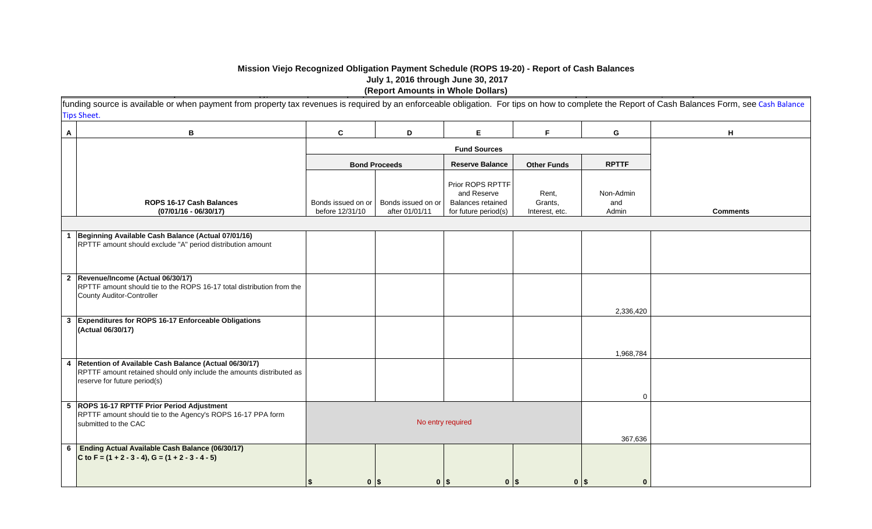## **Mission Viejo Recognized Obligation Payment Schedule (ROPS 19-20) - Report of Cash Balances July 1, 2016 through June 30, 2017** Pursuant to Health and Safety Code section 34177 (l), Redevelopment Property Tax Trust Fund (RPTTF) may be listed as a source of payment on the ROPS, but only to the extent no other **(Report Amounts in Whole Dollars)**

|   | funding source is available or when payment from property tax revenues is required by an enforceable obligation. For tips on how to complete the Report of Cash Balances Form, see Cash Balance |                                       |                                      |                                                                                     |                                    |                           |                 |
|---|-------------------------------------------------------------------------------------------------------------------------------------------------------------------------------------------------|---------------------------------------|--------------------------------------|-------------------------------------------------------------------------------------|------------------------------------|---------------------------|-----------------|
|   | <b>Tips Sheet.</b>                                                                                                                                                                              |                                       |                                      |                                                                                     |                                    |                           |                 |
| A | B                                                                                                                                                                                               | $\mathbf{C}$                          | D                                    | E.                                                                                  | F                                  | G                         | H               |
|   |                                                                                                                                                                                                 |                                       |                                      | <b>Fund Sources</b>                                                                 |                                    |                           |                 |
|   |                                                                                                                                                                                                 |                                       | <b>Bond Proceeds</b>                 | <b>Reserve Balance</b>                                                              | <b>Other Funds</b>                 | <b>RPTTF</b>              |                 |
|   | ROPS 16-17 Cash Balances<br>$(07/01/16 - 06/30/17)$                                                                                                                                             | Bonds issued on or<br>before 12/31/10 | Bonds issued on or<br>after 01/01/11 | Prior ROPS RPTTF<br>and Reserve<br><b>Balances retained</b><br>for future period(s) | Rent,<br>Grants,<br>Interest, etc. | Non-Admin<br>and<br>Admin | <b>Comments</b> |
|   |                                                                                                                                                                                                 |                                       |                                      |                                                                                     |                                    |                           |                 |
|   | Beginning Available Cash Balance (Actual 07/01/16)<br>RPTTF amount should exclude "A" period distribution amount                                                                                |                                       |                                      |                                                                                     |                                    |                           |                 |
|   | 2 Revenue/Income (Actual 06/30/17)<br>RPTTF amount should tie to the ROPS 16-17 total distribution from the<br><b>County Auditor-Controller</b>                                                 |                                       |                                      |                                                                                     |                                    | 2,336,420                 |                 |
|   | 3 Expenditures for ROPS 16-17 Enforceable Obligations<br>(Actual 06/30/17)                                                                                                                      |                                       |                                      |                                                                                     |                                    |                           |                 |
|   | 4 Retention of Available Cash Balance (Actual 06/30/17)<br>RPTTF amount retained should only include the amounts distributed as<br>reserve for future period(s)                                 |                                       |                                      |                                                                                     |                                    | 1,968,784<br>$\Omega$     |                 |
|   | 5 ROPS 16-17 RPTTF Prior Period Adjustment<br>RPTTF amount should tie to the Agency's ROPS 16-17 PPA form<br>submitted to the CAC                                                               |                                       | No entry required                    |                                                                                     |                                    | 367,636                   |                 |
| 6 | Ending Actual Available Cash Balance (06/30/17)<br>C to F = $(1 + 2 - 3 - 4)$ , G = $(1 + 2 - 3 - 4 - 5)$                                                                                       | $0$   \$                              | $0$   \$                             | 0 <sup>15</sup>                                                                     | $0$ $\sqrt{s}$                     | $\mathbf{0}$              |                 |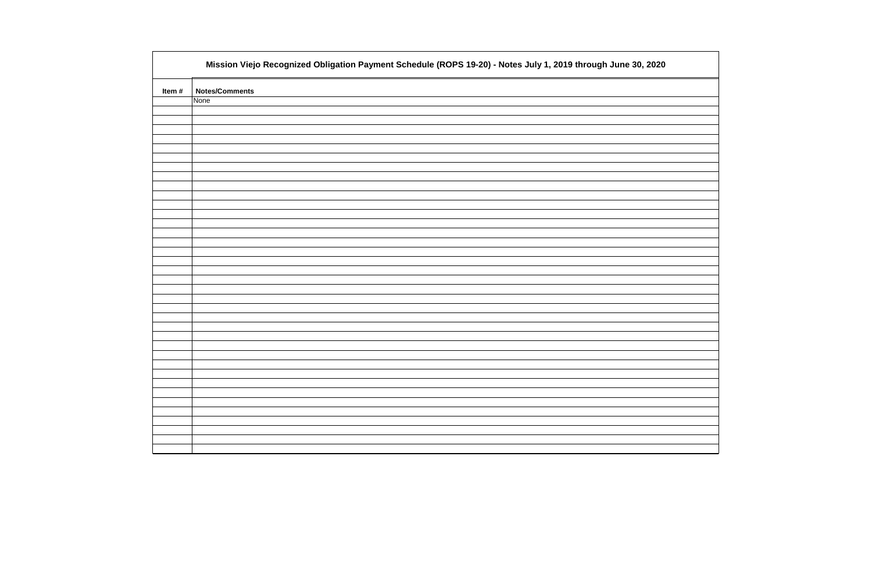|       | Mission Viejo Recognized Obligation Payment Schedule (ROPS 19-20) - Notes July 1, 2019 through June 30, 2020 |
|-------|--------------------------------------------------------------------------------------------------------------|
| Item# | <b>Notes/Comments</b>                                                                                        |
|       | None                                                                                                         |
|       |                                                                                                              |
|       |                                                                                                              |
|       |                                                                                                              |
|       |                                                                                                              |
|       |                                                                                                              |
|       |                                                                                                              |
|       |                                                                                                              |
|       |                                                                                                              |
|       |                                                                                                              |
|       |                                                                                                              |
|       |                                                                                                              |
|       |                                                                                                              |
|       |                                                                                                              |
|       |                                                                                                              |
|       |                                                                                                              |
|       |                                                                                                              |
|       |                                                                                                              |
|       |                                                                                                              |
|       |                                                                                                              |
|       |                                                                                                              |
|       |                                                                                                              |
|       |                                                                                                              |
|       |                                                                                                              |
|       |                                                                                                              |
|       |                                                                                                              |
|       |                                                                                                              |
|       |                                                                                                              |
|       |                                                                                                              |
|       |                                                                                                              |
|       |                                                                                                              |
|       |                                                                                                              |
|       |                                                                                                              |
|       |                                                                                                              |
|       |                                                                                                              |

| , 2020 |
|--------|
|        |
|        |
|        |
|        |
|        |
|        |
|        |
|        |
|        |
|        |
|        |
|        |
|        |
|        |
|        |
|        |
|        |
|        |
|        |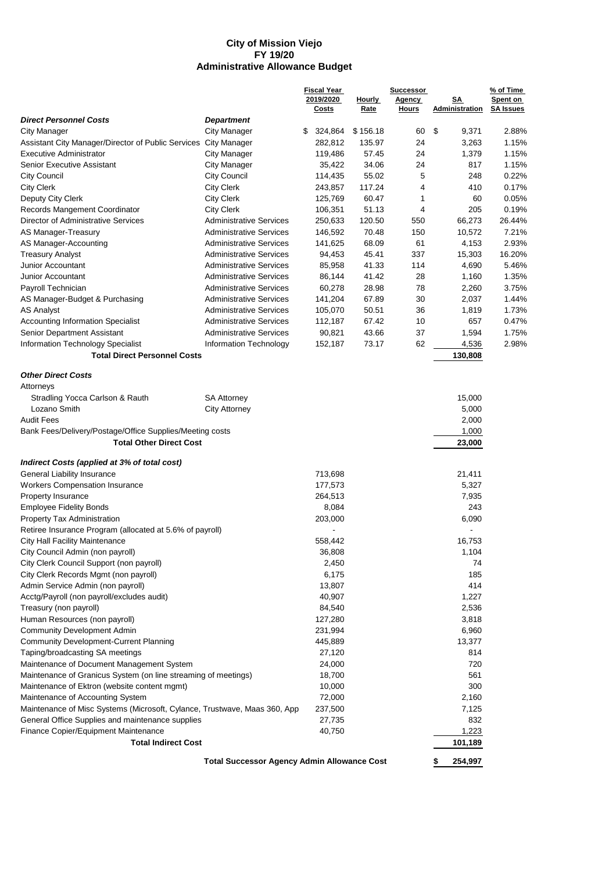#### **City of Mission Viejo FY 19/20 Administrative Allowance Budget**

|                                                                           |                                                    | <b>Fiscal Year</b> |               | <b>Successor</b>              |                      | % of Time        |  |
|---------------------------------------------------------------------------|----------------------------------------------------|--------------------|---------------|-------------------------------|----------------------|------------------|--|
|                                                                           |                                                    | 2019/2020          | <b>Hourly</b> | <b>Agency</b><br><b>Hours</b> | SΑ<br>Administration | Spent on         |  |
|                                                                           |                                                    | <b>Costs</b>       | Rate          |                               |                      | <b>SA Issues</b> |  |
| <b>Direct Personnel Costs</b>                                             | <b>Department</b>                                  |                    |               |                               |                      |                  |  |
| City Manager                                                              | <b>City Manager</b>                                | \$<br>324,864      | \$156.18      | 60                            | \$<br>9,371          | 2.88%            |  |
| Assistant City Manager/Director of Public Services                        | City Manager                                       | 282,812            | 135.97        | 24                            | 3,263                | 1.15%            |  |
| <b>Executive Administrator</b>                                            | City Manager                                       | 119,486            | 57.45         | 24                            | 1,379                | 1.15%            |  |
| <b>Senior Executive Assistant</b>                                         | City Manager                                       | 35,422             | 34.06         | 24                            | 817                  | 1.15%            |  |
| <b>City Council</b>                                                       | <b>City Council</b>                                | 114,435            | 55.02         | 5                             | 248                  | 0.22%            |  |
| <b>City Clerk</b>                                                         | <b>City Clerk</b>                                  | 243,857            | 117.24        | 4                             | 410                  | 0.17%            |  |
| Deputy City Clerk                                                         | <b>City Clerk</b>                                  | 125,769            | 60.47         | 1                             | 60                   | 0.05%            |  |
| Records Mangement Coordinator                                             | <b>City Clerk</b>                                  | 106,351            | 51.13         | 4                             | 205                  | 0.19%            |  |
| Director of Administrative Services                                       | <b>Administrative Services</b>                     | 250,633            | 120.50        | 550                           | 66,273               | 26.44%           |  |
| AS Manager-Treasury                                                       | <b>Administrative Services</b>                     | 146,592            | 70.48         | 150                           | 10,572               | 7.21%            |  |
| AS Manager-Accounting                                                     | <b>Administrative Services</b>                     | 141,625            | 68.09         | 61                            | 4,153                | 2.93%            |  |
| <b>Treasury Analyst</b>                                                   | <b>Administrative Services</b>                     | 94,453             | 45.41         | 337                           | 15,303               | 16.20%           |  |
| Junior Accountant                                                         | <b>Administrative Services</b>                     | 85,958             | 41.33         | 114                           | 4,690                | 5.46%            |  |
| Junior Accountant                                                         | <b>Administrative Services</b>                     | 86,144             | 41.42         | 28                            | 1,160                | 1.35%            |  |
| Payroll Technician                                                        | <b>Administrative Services</b>                     | 60,278             | 28.98         | 78                            | 2,260                | 3.75%            |  |
| AS Manager-Budget & Purchasing                                            | <b>Administrative Services</b>                     | 141,204            | 67.89         | 30                            | 2,037                | 1.44%            |  |
| <b>AS Analyst</b>                                                         | <b>Administrative Services</b>                     | 105,070            | 50.51         | 36                            | 1,819                | 1.73%            |  |
| <b>Accounting Information Specialist</b>                                  | <b>Administrative Services</b>                     | 112,187            | 67.42         | 10                            | 657                  | 0.47%            |  |
| Senior Department Assistant                                               | <b>Administrative Services</b>                     | 90,821             | 43.66         | 37                            | 1,594                | 1.75%            |  |
| <b>Information Technology Specialist</b>                                  | Information Technology                             | 152,187            | 73.17         | 62                            | 4,536                | 2.98%            |  |
| <b>Total Direct Personnel Costs</b>                                       |                                                    |                    |               |                               | 130,808              |                  |  |
|                                                                           |                                                    |                    |               |                               |                      |                  |  |
| <b>Other Direct Costs</b>                                                 |                                                    |                    |               |                               |                      |                  |  |
| Attorneys                                                                 |                                                    |                    |               |                               |                      |                  |  |
| Stradling Yocca Carlson & Rauth                                           | <b>SA Attorney</b>                                 |                    |               |                               | 15,000               |                  |  |
| Lozano Smith                                                              | <b>City Attorney</b>                               |                    |               |                               | 5,000                |                  |  |
| <b>Audit Fees</b>                                                         |                                                    |                    |               |                               | 2,000                |                  |  |
| Bank Fees/Delivery/Postage/Office Supplies/Meeting costs                  |                                                    |                    |               |                               | 1,000                |                  |  |
| <b>Total Other Direct Cost</b>                                            |                                                    |                    |               |                               | 23,000               |                  |  |
|                                                                           |                                                    |                    |               |                               |                      |                  |  |
| Indirect Costs (applied at 3% of total cost)                              |                                                    |                    |               |                               |                      |                  |  |
| General Liability Insurance                                               |                                                    | 713,698            |               |                               | 21,411               |                  |  |
| <b>Workers Compensation Insurance</b>                                     |                                                    | 177,573            |               |                               | 5,327                |                  |  |
| Property Insurance                                                        |                                                    | 264,513            |               |                               | 7,935                |                  |  |
| <b>Employee Fidelity Bonds</b>                                            |                                                    | 8,084              |               |                               | 243                  |                  |  |
| Property Tax Administration                                               |                                                    | 203,000            |               |                               | 6,090                |                  |  |
| Retiree Insurance Program (allocated at 5.6% of payroll)                  |                                                    |                    |               |                               |                      |                  |  |
| <b>City Hall Facility Maintenance</b>                                     |                                                    | 558,442            |               |                               | 16,753               |                  |  |
| City Council Admin (non payroll)                                          |                                                    | 36,808             |               |                               | 1,104                |                  |  |
| City Clerk Council Support (non payroll)                                  |                                                    | 2,450              |               |                               | 74                   |                  |  |
| City Clerk Records Mgmt (non payroll)                                     |                                                    | 6,175              |               |                               | 185                  |                  |  |
| Admin Service Admin (non payroll)                                         |                                                    | 13,807             |               |                               | 414                  |                  |  |
| Acctg/Payroll (non payroll/excludes audit)                                |                                                    | 40,907             |               |                               | 1,227                |                  |  |
| Treasury (non payroll)                                                    |                                                    | 84,540             |               |                               | 2,536                |                  |  |
| Human Resources (non payroll)                                             |                                                    | 127,280            |               |                               | 3,818                |                  |  |
| <b>Community Development Admin</b>                                        |                                                    | 231,994            |               |                               | 6,960                |                  |  |
| <b>Community Development-Current Planning</b>                             |                                                    | 445,889            |               |                               | 13,377               |                  |  |
| Taping/broadcasting SA meetings                                           |                                                    | 27,120             |               |                               | 814                  |                  |  |
| Maintenance of Document Management System                                 |                                                    | 24,000             |               |                               | 720                  |                  |  |
| Maintenance of Granicus System (on line streaming of meetings)            |                                                    | 18,700             |               |                               | 561                  |                  |  |
| Maintenance of Ektron (website content mgmt)                              |                                                    | 10,000             |               |                               | 300                  |                  |  |
| Maintenance of Accounting System                                          |                                                    | 72,000             |               |                               | 2,160                |                  |  |
| Maintenance of Misc Systems (Microsoft, Cylance, Trustwave, Maas 360, App |                                                    | 237,500            |               |                               | 7,125                |                  |  |
| General Office Supplies and maintenance supplies                          |                                                    | 27,735             |               |                               | 832                  |                  |  |
| Finance Copier/Equipment Maintenance                                      |                                                    | 40,750             |               |                               | 1,223                |                  |  |
| <b>Total Indirect Cost</b>                                                |                                                    |                    |               |                               | 101,189              |                  |  |
|                                                                           |                                                    |                    |               |                               |                      |                  |  |
|                                                                           | <b>Total Successor Agency Admin Allowance Cost</b> |                    |               |                               | 254,997              |                  |  |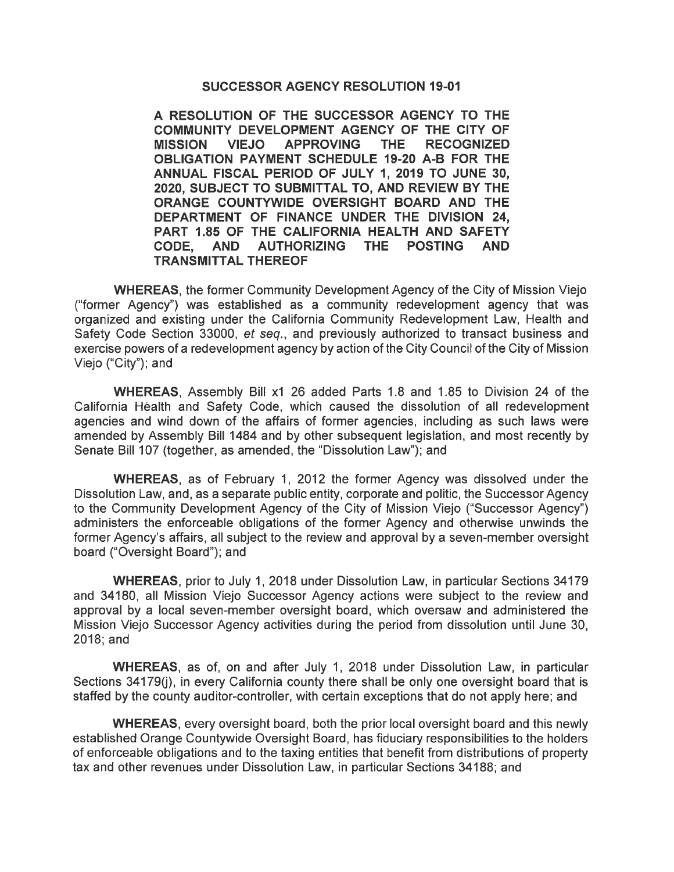## **SUCCESSOR AGENCY RESOLUTION 19-01**

A RESOLUTION OF THE SUCCESSOR AGENCY TO THE COMMUNITY DEVELOPMENT AGENCY OF THE CITY OF **MISSION VIEJO APPROVING** THE. **RECOGNIZED OBLIGATION PAYMENT SCHEDULE 19-20 A-B FOR THE** ANNUAL FISCAL PERIOD OF JULY 1, 2019 TO JUNE 30, 2020, SUBJECT TO SUBMITTAL TO, AND REVIEW BY THE ORANGE COUNTYWIDE OVERSIGHT BOARD AND THE DEPARTMENT OF FINANCE UNDER THE DIVISION 24. PART 1.85 OF THE CALIFORNIA HEALTH AND SAFETY **AUTHORIZING** THE POSTING **AND** CODE. **AND TRANSMITTAL THEREOF** 

**WHEREAS, the former Community Development Agency of the City of Mission Viejo** ("former Agency") was established as a community redevelopment agency that was organized and existing under the California Community Redevelopment Law. Health and Safety Code Section 33000, et seq., and previously authorized to transact business and exercise powers of a redevelopment agency by action of the City Council of the City of Mission Viejo ("City"); and

WHEREAS, Assembly Bill x1 26 added Parts 1.8 and 1.85 to Division 24 of the California Health and Safety Code, which caused the dissolution of all redevelopment agencies and wind down of the affairs of former agencies, including as such laws were amended by Assembly Bill 1484 and by other subsequent legislation, and most recently by Senate Bill 107 (together, as amended, the "Dissolution Law"); and

**WHEREAS**, as of February 1, 2012 the former Agency was dissolved under the Dissolution Law, and, as a separate public entity, corporate and politic, the Successor Agency to the Community Development Agency of the City of Mission Viejo ("Successor Agency") administers the enforceable obligations of the former Agency and otherwise unwinds the former Agency's affairs, all subject to the review and approval by a seven-member oversight board ("Oversight Board"); and

WHEREAS, prior to July 1, 2018 under Dissolution Law, in particular Sections 34179 and 34180, all Mission Viejo Successor Agency actions were subject to the review and approval by a local seven-member oversight board, which oversaw and administered the Mission Viejo Successor Agency activities during the period from dissolution until June 30,  $2018$ ; and

WHEREAS, as of, on and after July 1, 2018 under Dissolution Law, in particular Sections 34179(i), in every California county there shall be only one oversight board that is staffed by the county auditor-controller, with certain exceptions that do not apply here; and

**WHEREAS, every oversight board, both the prior local oversight board and this newly** established Orange Countywide Oversight Board, has fiduciary responsibilities to the holders of enforceable obligations and to the taxing entities that benefit from distributions of property tax and other revenues under Dissolution Law, in particular Sections 34188; and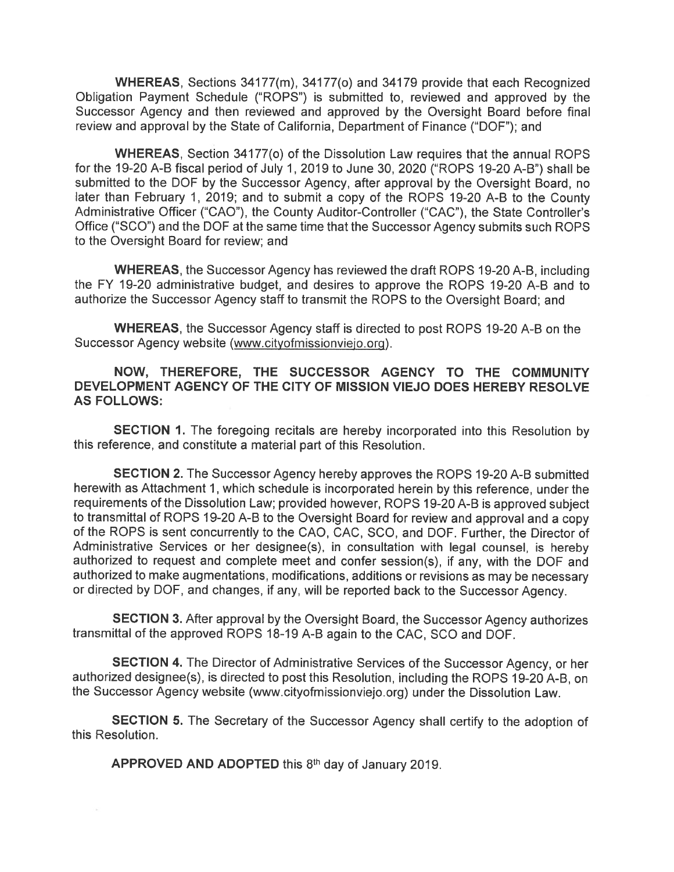WHEREAS, Sections 34177(m), 34177(o) and 34179 provide that each Recognized Obligation Payment Schedule ("ROPS") is submitted to, reviewed and approved by the Successor Agency and then reviewed and approved by the Oversight Board before final review and approval by the State of California, Department of Finance ("DOF"); and

**WHEREAS.** Section 34177(o) of the Dissolution Law requires that the annual ROPS for the 19-20 A-B fiscal period of July 1, 2019 to June 30, 2020 ("ROPS 19-20 A-B") shall be submitted to the DOF by the Successor Agency, after approval by the Oversight Board, no later than February 1, 2019; and to submit a copy of the ROPS 19-20 A-B to the County Administrative Officer ("CAO"), the County Auditor-Controller ("CAC"), the State Controller's Office ("SCO") and the DOF at the same time that the Successor Agency submits such ROPS to the Oversight Board for review; and

**WHEREAS, the Successor Agency has reviewed the draft ROPS 19-20 A-B, including** the FY 19-20 administrative budget, and desires to approve the ROPS 19-20 A-B and to authorize the Successor Agency staff to transmit the ROPS to the Oversight Board; and

**WHEREAS, the Successor Agency staff is directed to post ROPS 19-20 A-B on the** Successor Agency website (www.cityofmissionviejo.org).

NOW, THEREFORE, THE SUCCESSOR AGENCY TO THE COMMUNITY DEVELOPMENT AGENCY OF THE CITY OF MISSION VIEJO DOES HEREBY RESOLVE **AS FOLLOWS:** 

**SECTION 1.** The foregoing recitals are hereby incorporated into this Resolution by this reference, and constitute a material part of this Resolution.

**SECTION 2.** The Successor Agency hereby approves the ROPS 19-20 A-B submitted herewith as Attachment 1, which schedule is incorporated herein by this reference, under the requirements of the Dissolution Law; provided however, ROPS 19-20 A-B is approved subject to transmittal of ROPS 19-20 A-B to the Oversight Board for review and approval and a copy of the ROPS is sent concurrently to the CAO, CAC, SCO, and DOF. Further, the Director of Administrative Services or her designee(s), in consultation with legal counsel, is hereby authorized to request and complete meet and confer session(s), if any, with the DOF and authorized to make augmentations, modifications, additions or revisions as may be necessary or directed by DOF, and changes, if any, will be reported back to the Successor Agency.

SECTION 3. After approval by the Oversight Board, the Successor Agency authorizes transmittal of the approved ROPS 18-19 A-B again to the CAC, SCO and DOF.

**SECTION 4.** The Director of Administrative Services of the Successor Agency, or her authorized designee(s), is directed to post this Resolution, including the ROPS 19-20 A-B, on the Successor Agency website (www.cityofmissionviejo.org) under the Dissolution Law.

**SECTION 5.** The Secretary of the Successor Agency shall certify to the adoption of this Resolution.

APPROVED AND ADOPTED this 8th day of January 2019.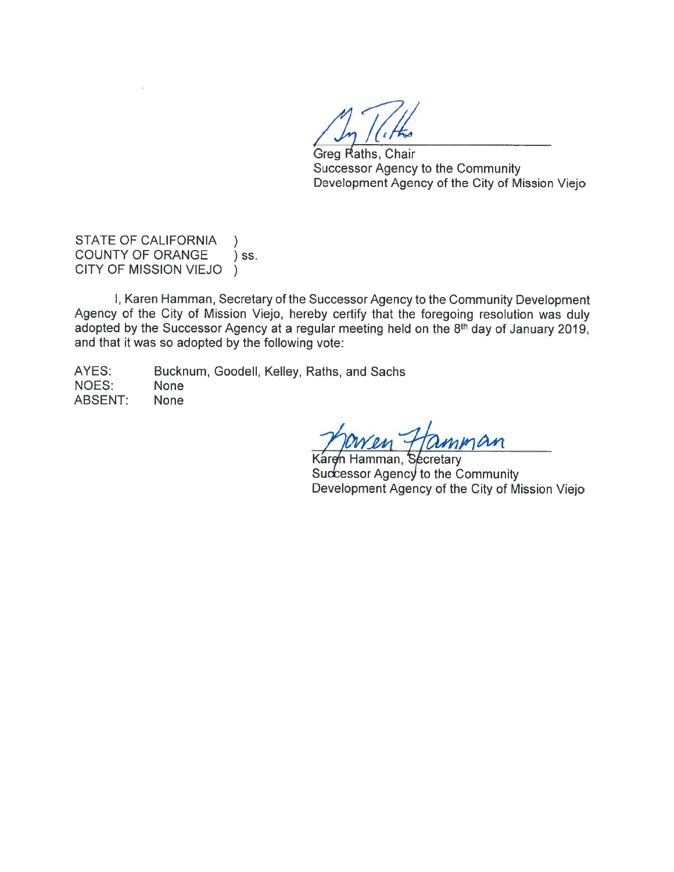Greg Raths, Chair **Successor Agency to the Community** Development Agency of the City of Mission Viejo

STATE OF CALIFORNIA  $\lambda$ **COUNTY OF ORANGE**  $)$  SS. CITY OF MISSION VIEJO  $\rightarrow$ 

I, Karen Hamman, Secretary of the Successor Agency to the Community Development Agency of the City of Mission Viejo, hereby certify that the foregoing resolution was duly adopted by the Successor Agency at a regular meeting held on the 8th day of January 2019, and that it was so adopted by the following vote:

AYES: Bucknum, Goodell, Kelley, Raths, and Sachs NOES: **None ABSENT: None** 

 $10m$ 

Karen Hamman, Secretary Successor Agency to the Community Development Agency of the City of Mission Viejo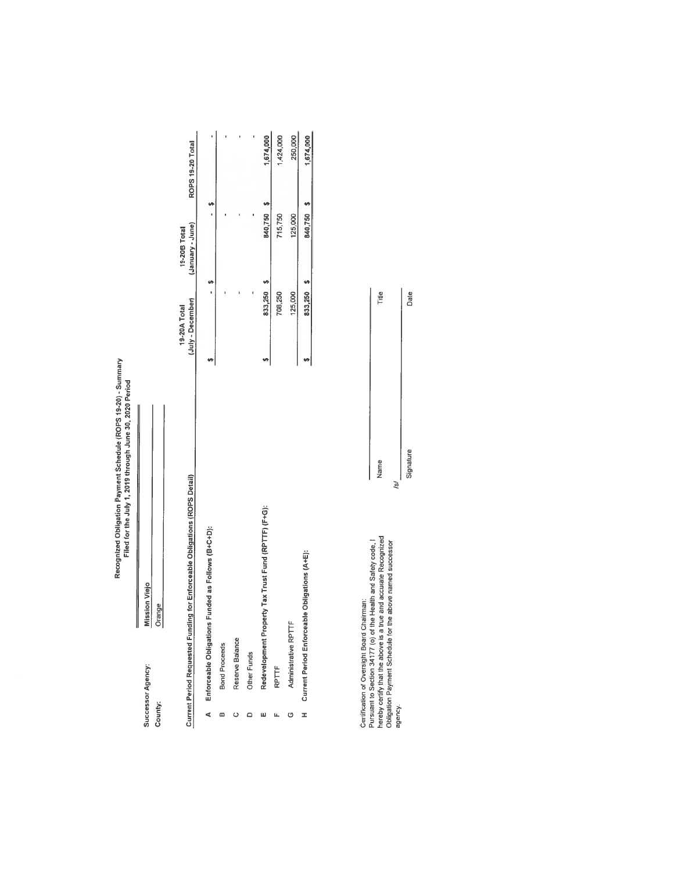Recognized Obligation Payment Schedule (ROPS 19-20) - Summary<br>Filed for the July 1, 2019 through June 30, 2020 Period

Mission Viejo Orange Successor Agency: County:

1,674,000 1,424,000 250,000 ROPS 19-20 Total  $\bullet$ 840,750 \$ ÿ ï l,  $\mathbf{I}$ 715,750 125,000 (January - June) 19-20B Total  $\bullet$ 833,250 \$ 708,250 125,000  $\overline{1}$ (July - December) 19-20A Total  $\left| \cdot \right|$  $\blacklozenge$ Current Period Requested Funding for Enforceable Obligations (ROPS Detail) Redevelopment Property Tax Trust Fund (RPTTF) (F+G): Enforceable Obligations Funded as Follows (B+C+D): Administrative RPTTF Reserve Balance **Bond Proceeds** Other Funds RPTTF  $\triangleleft$  $\hfill \Box$  $\omega$  $\mathbf{u}_i$  $\circ$  $\omega$  $\circ$ 

1,674,000

840,750 \$

**VI** 

833,250

 $\cdot$ 

Current Period Enforceable Obligations (A+E):

 $\pm$ 

Certification of Oversight Board Chairman:<br>Pursuant to Section 34177 (o) of the Health and Safety code, I<br>hereby certify that the above is a true and accurate Recognized<br>Obligation Payment Schedule for the above named succ agency.

Date Title Signature Name  $151$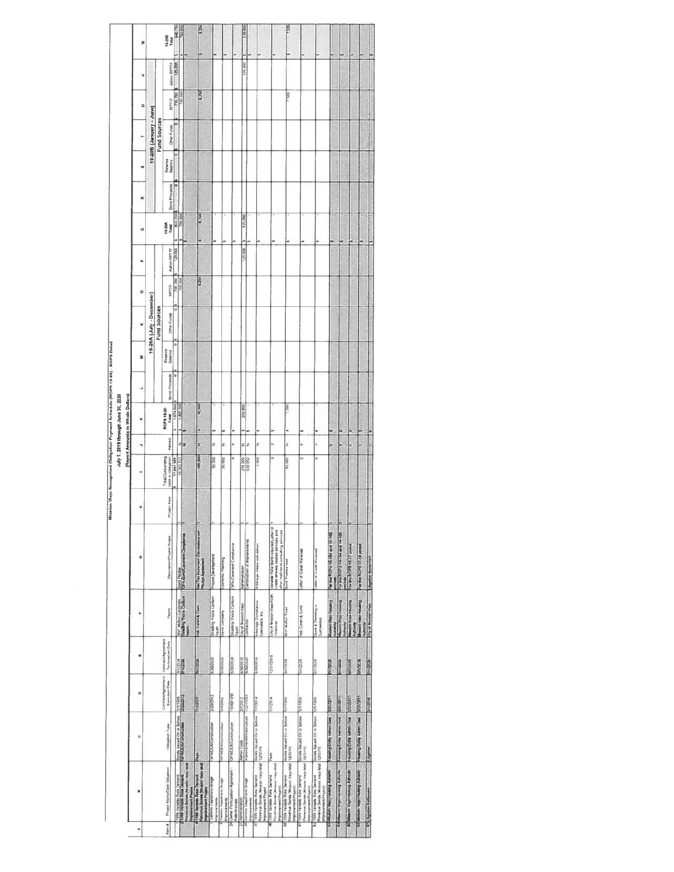|         |                                                                                                                             |                                      |                                      |                                         |                                                                                                                                                                      |                                                                                                                   |                     |                   |             | July 1, 2019 through June 30, 2020 |                      |         |                          |           |             |                 |                      |         |                         |                |                    |                 |
|---------|-----------------------------------------------------------------------------------------------------------------------------|--------------------------------------|--------------------------------------|-----------------------------------------|----------------------------------------------------------------------------------------------------------------------------------------------------------------------|-------------------------------------------------------------------------------------------------------------------|---------------------|-------------------|-------------|------------------------------------|----------------------|---------|--------------------------|-----------|-------------|-----------------|----------------------|---------|-------------------------|----------------|--------------------|-----------------|
|         |                                                                                                                             |                                      |                                      |                                         |                                                                                                                                                                      |                                                                                                                   |                     |                   |             | Report Amounts in Whole Dollars    |                      |         |                          |           |             |                 |                      |         |                         |                |                    |                 |
| ¢       | W                                                                                                                           | ü                                    | ۰                                    | ŵ                                       | u                                                                                                                                                                    | ö                                                                                                                 | x                   |                   | P,          | ×                                  | د                    | z       | ×                        | o         | a.          | o               | z                    | 'n      | ۰                       | $\overline{a}$ | ٠                  | 3               |
|         |                                                                                                                             |                                      |                                      |                                         |                                                                                                                                                                      |                                                                                                                   |                     |                   |             |                                    |                      |         | 19-20A (July - December) |           |             |                 |                      |         | (ens) - Yisning, B02-81 |                |                    |                 |
|         |                                                                                                                             |                                      |                                      |                                         |                                                                                                                                                                      |                                                                                                                   |                     |                   |             |                                    |                      |         | Fund Sources             |           |             |                 |                      |         | Fund Sources            |                |                    |                 |
| timit # | Project Hame/Debt Obligation                                                                                                | <b>Chigaton Type</b>                 | Contract/Agreement<br>Execution Date | Coronact/Agreement<br>Tenthrestian Date | Payer                                                                                                                                                                | DescriptionPlayed Scape                                                                                           | <b>Project Ares</b> | Total Outstanding | Refired     | ROPS 13-20<br>Total                | <b>Borg Proceeds</b> | Reserve | <b>Citiver Furnits</b>   | RPTTF     |             | 19-25A<br>Total | <b>Bord Proceeds</b> | Reserve | <b>Other Funds</b>      | RPTTP          | <b>Actms RPTTF</b> | 19-200<br>Total |
|         |                                                                                                                             |                                      |                                      | <b>BEGENI</b>                           |                                                                                                                                                                      |                                                                                                                   |                     | 17, 884 SES       |             | 1.674.000                          |                      | 0       |                          | 200 250   | SOURE UNION | 633 250         |                      | e       |                         | 715,750        | 125,000            | 640.750         |
|         | Tues vanasa Rais Demand<br>PERS Venade Rais Demand                                                                          | Pondh traued On or Before            | <b>STITES</b>                        | <b>SEPTEMBER</b>                        |                                                                                                                                                                      | <b>Bond Piedge</b><br><b>CG-A-Bond/Caveward Completion</b>                                                        |                     | 16,365,037        | ziz         | 1,400.000                          |                      |         |                          | 180.00    |             |                 |                      |         |                         | 700 000        |                    | No 000          |
|         | Honorum Bonus (Museum Meja Mak<br>Imponentent Praeser<br>1950 Vienstalk Rada Darnard                                        |                                      |                                      |                                         | Ster Melan Corporate<br>Orading Yours Cadwin<br>Readin                                                                                                               |                                                                                                                   |                     |                   |             |                                    |                      |         |                          |           |             |                 |                      |         |                         |                |                    |                 |
|         | M<br>Forecast Sidnis (Motion Map)                                                                                           | F                                    | proster                              | 不可に                                     | HE. Caren & Core                                                                                                                                                     | Net Tax Incornere Calculation per                                                                                 |                     | 160,000           | z           | <b>N1500</b><br>ü                  |                      |         |                          | <b>RE</b> |             | <b>BL290</b>    |                      |         |                         | 8.750          |                    | 0.250           |
|         | Camino Capitiziano Bridge<br><b>Improvements</b>                                                                            | GPA/COA/Construction                 | 2/20/2012                            | EL82020                                 | Straighing Yours Cartson<br>Reuth                                                                                                                                    | Project Development                                                                                               |                     | 30.000            | z           | n                                  |                      |         |                          |           |             |                 |                      |         |                         |                |                    |                 |
|         | Camino Capitrano Bridge<br><b>Internet of the</b>                                                                           | SPACIOAC dramadum                    | <b>TOOCYNE</b>                       | LC02000                                 | <b>Davis Company</b>                                                                                                                                                 | conomic Planning                                                                                                  |                     | 50.000            | z           |                                    |                      |         |                          |           |             |                 |                      |         |                         |                |                    |                 |
|         | 24 Oene Partcastion Agreement -<br>Kalendoszope                                                                             | OPA/EDA/Centrusten                   | HA LAKA 0                            | <b>N202024</b>                          | Stratting Yopca Cartton<br>Rauth                                                                                                                                     | OPA-Covenant Completer                                                                                            |                     | a                 | s.          |                                    |                      |         |                          |           |             |                 |                      |         |                         |                |                    |                 |
|         | Administration                                                                                                              | <b>Agmo</b> Casts                    | 2102012                              | E1070078                                | City of Mission Yago                                                                                                                                                 | Agments aton                                                                                                      |                     |                   |             | 250,008                            |                      |         |                          |           | 127,000     | 125,000         |                      |         |                         |                | 125,000            | 125,000         |
|         | Camro Caprinavo Broge<br><b>Ипровернется</b>                                                                                | <b>International Manufactures</b>    | 1/27/1993                            | 5/30/2023                               | <b>Janti Britan</b>                                                                                                                                                  | ambudien at Imprevements                                                                                          |                     | 210 000           | $z \vert z$ |                                    |                      |         |                          |           |             |                 |                      |         |                         |                |                    |                 |
|         | Revenue Borgs (Meason Viejo Mail 13731710)<br>1959 Vanable Rate Demand<br>Improvement Project                               | dones buyued Ciri or Behore          | 1/1/2014                             | <b>MAXSH</b>                            | Arbitrage Completions<br><b>Specialists</b> like                                                                                                                     | Artistrage retails calculation                                                                                    |                     | 5 900             | z           |                                    |                      |         |                          |           |             |                 |                      |         |                         |                |                    |                 |
| ¥       | Revenue Bonds (Mission Very Mail<br>1999 Vanatée Rafe Demand<br>Improvement Project)                                        | aos                                  | PIG2UL                               | 01021232                                | City of Mitsubin Viejo/NZ#4<br>manual                                                                                                                                | Venable Rate Bond required Letter of<br>Cledil ranceal resiled services and<br>dher mail bond consulting services |                     | a                 |             |                                    |                      |         |                          |           |             |                 |                      |         |                         |                |                    |                 |
| ÿ       | Revenue Banda (Mission View Mail 19731/10)<br>1929 Vanable Rate Demand<br>Improvement Project)                              | Bonds twierd On is Before            | <b>RALISS</b>                        | BCDC/I/R                                | Star Mallon Trust                                                                                                                                                    | lond Trustee lees                                                                                                 |                     | 60,000            | z           | ß                                  |                      |         |                          |           |             |                 |                      |         |                         | ķ              |                    | ķ               |
|         | 1999 Vanasle Rate Denunç III. Bonda baued On or Batien.<br>Revenue Bonda (Mission View Mail 12/11/10)<br>Improvement Phased |                                      | SOFTENS                              | <b>ACCOM</b>                            | Hall, Conen & Cone                                                                                                                                                   | etter of Creak Renewal                                                                                            |                     | o                 |             |                                    |                      |         |                          |           |             |                 |                      |         |                         |                |                    |                 |
| 3       | Revenue Bende (Masson Vieja Mal), (1201/10)<br>Revenue Bende (Masson Vieja Mal), (1201/10)<br>Improvement Project)          |                                      | 5/10/12/9                            | <b>BOOS</b>                             | Quint & Theming of<br>Succession                                                                                                                                     | where of Credit Remewal                                                                                           |                     | o                 |             |                                    |                      |         |                          |           |             |                 |                      |         |                         |                |                    |                 |
|         | <b>Juniory Benniel (slay) searage</b>                                                                                       | <b>House's Entity Admin Crew!</b>    | <b>LIBOLDE</b>                       | <b>Read</b>                             | <b>Bismin Vego Housey</b>                                                                                                                                            | THE TILE WAY ARE FOR A WAY OF A WAY<br>● 2000年                                                                    |                     |                   |             |                                    |                      |         |                          |           |             |                 |                      |         |                         |                |                    |                 |
|         | Awount Demoty etails increased to 9                                                                                         | following Every Admin Coat 1221/2011 |                                      | <b>ATLANT</b>                           | $\begin{tabular}{ c c } \hline & $1000$ \\ \hline & $10000$ \\ \hline & $10000$ \\ \hline & $10000$ \\ \hline & $10000$ \\ \hline & $10000$ \\ \hline \end{tabular}$ | OF MY RODS 14 15A and 14 100<br>Models                                                                            |                     |                   |             |                                    |                      |         |                          |           |             |                 |                      |         |                         |                |                    |                 |
|         | <b>Booth grunner over management</b>                                                                                        | leasing Erely Americas               | <b>Tanzari</b>                       | <b>BOSTANIA</b>                         | Acchients                                                                                                                                                            | www.kom 16.17 percent                                                                                             |                     |                   |             |                                    |                      |         |                          |           |             |                 |                      |         |                         |                |                    |                 |
|         | <b>Committee Community and Convenient Committee</b>                                                                         | <b>New Yorky Admin Cent</b>          | <b>BONDAY</b>                        | <b>Shop</b>                             | <b>Brancos Alder License</b><br>Automy                                                                                                                               | Far the ROPE 17-14 pennel                                                                                         |                     |                   |             |                                    |                      |         |                          |           |             |                 |                      |         |                         |                |                    |                 |
|         | <b>C.</b> Kingston Grobersere                                                                                               |                                      | <b>SHISCHS</b>                       | <b>Bridges</b>                          | City of Meanter Yapt                                                                                                                                                 | <b><i><b>Rigarian Geral</b></i></b>                                                                               |                     |                   |             |                                    |                      |         |                          |           |             |                 |                      |         |                         |                |                    |                 |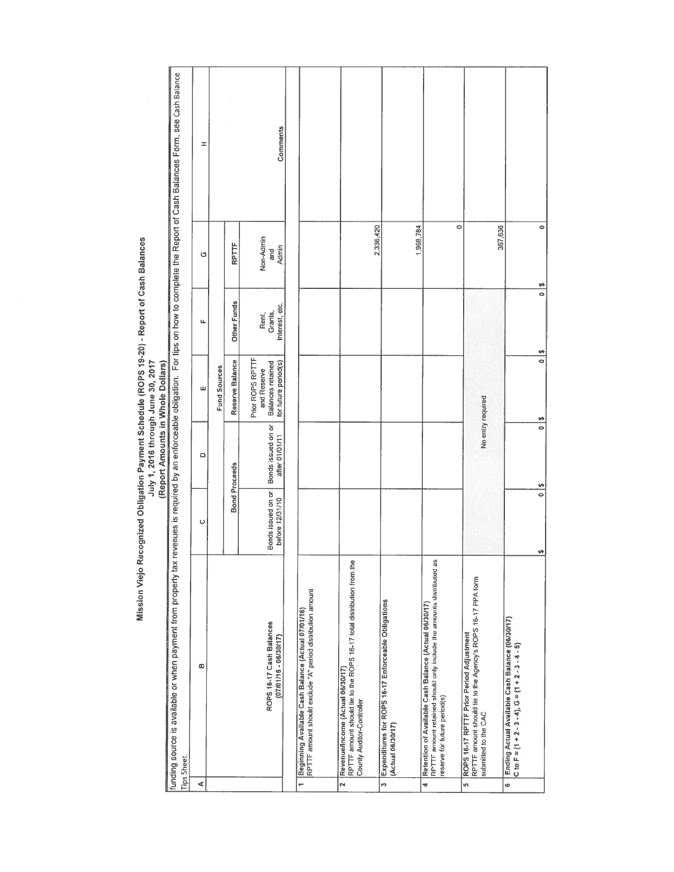|               |                                                                                                                                                               |                                       | (Report Amounts in Whole Dollars)    |                                                                              |                                    |                           |                                                                                                                                   |
|---------------|---------------------------------------------------------------------------------------------------------------------------------------------------------------|---------------------------------------|--------------------------------------|------------------------------------------------------------------------------|------------------------------------|---------------------------|-----------------------------------------------------------------------------------------------------------------------------------|
|               | funding source is available or when payment from property tax<br>Tips Sheet.                                                                                  |                                       |                                      |                                                                              |                                    |                           | revenues is required by an enforceable obligation. For tips on how to complete the Report of Cash Balances Form, see Cash Balance |
| ⋖             | $\boldsymbol{\omega}$                                                                                                                                         | o                                     | Δ                                    | ш                                                                            | щ                                  | O                         | I                                                                                                                                 |
|               |                                                                                                                                                               |                                       |                                      | Fund Sources                                                                 |                                    |                           |                                                                                                                                   |
|               |                                                                                                                                                               | <b>Bond Proceeds</b>                  |                                      | Reserve Balance                                                              | Other Funds                        | RPTTF                     |                                                                                                                                   |
|               | ROPS 16-17 Cash Balances<br>(07/01/16 - 06/30/17)                                                                                                             | Bonds issued on or<br>before 12/31/10 | Bonds issued on or<br>after D1/01/11 | Prior ROPS RPTTF<br>for future period(s)<br>Balances retained<br>and Reserve | Interest, etc.<br>Grants,<br>Rent, | Non-Admin<br>Admin<br>and | Comments                                                                                                                          |
|               |                                                                                                                                                               |                                       |                                      |                                                                              |                                    |                           |                                                                                                                                   |
|               | RPTTF amount should exclude "A" period distribution amount<br>1 Beginning Available Cash Balance (Actual 07/01/16)                                            |                                       |                                      |                                                                              |                                    |                           |                                                                                                                                   |
| $\frac{1}{2}$ | RPTTF amount should tie to the ROPS 16-17 total distribution from the<br>Revenue/Income (Actual 06/30/17)<br>County Auditor-Controller                        |                                       |                                      |                                                                              |                                    | 2,336,420                 |                                                                                                                                   |
|               | 3 Expenditures for ROPS 16-17 Enforceable Obligations<br>(Actual 06/30/17)                                                                                    |                                       |                                      |                                                                              |                                    | 1,968,784                 |                                                                                                                                   |
| ÷             | RPTTF amount retained should only include the amounts distributed as<br>Retention of Available Cash Balance (Actual 06/30/17)<br>reserve for future period(s) |                                       |                                      |                                                                              |                                    | $\circ$                   |                                                                                                                                   |
| ຶ             | RPTTF amount should tie to the Agency's ROPS 16-17 PPA form<br>ROPS 16-17 RPTTF Prior Period Adjustment<br>submitted to the CAC                               |                                       | No entry required                    |                                                                              |                                    | 367,636                   |                                                                                                                                   |
| o             | Ending Actual Available Cash Balance (06/30/17)<br>C to F = $(1 + 2 - 3 - 4)$ , G = $(1 + 2 - 3 - 4 - 5)$                                                     | $\frac{6}{9}$                         | $\frac{8}{10}$                       | $\overline{\phantom{a}}$                                                     | $\overline{\phantom{0}}$<br>M,     | 0                         |                                                                                                                                   |

Mission Viejo Recognized Obligation Payment Schedule (ROPS 19-20) - Report of Cash Balances<br>July 1, 2016 through June 30, 2017